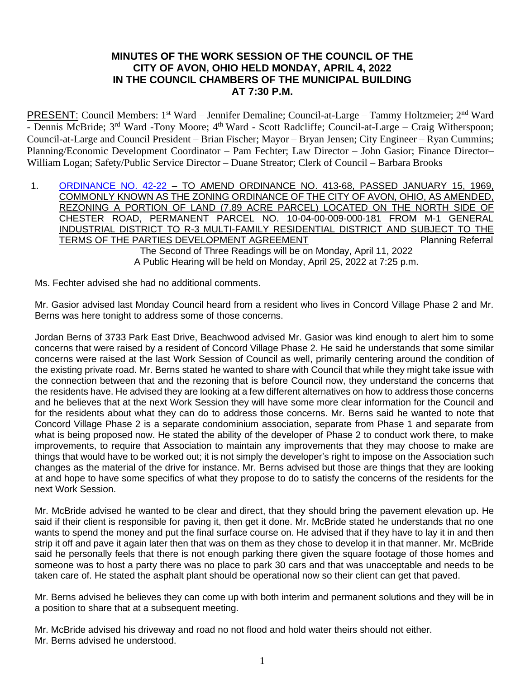# **MINUTES OF THE WORK SESSION OF THE COUNCIL OF THE CITY OF AVON, OHIO HELD MONDAY, APRIL 4, 2022 IN THE COUNCIL CHAMBERS OF THE MUNICIPAL BUILDING AT 7:30 P.M.**

PRESENT: Council Members: 1<sup>st</sup> Ward – Jennifer Demaline; Council-at-Large – Tammy Holtzmeier; 2<sup>nd</sup> Ward - Dennis McBride; 3<sup>rd</sup> Ward -Tony Moore; 4<sup>th</sup> Ward - Scott Radcliffe; Council-at-Large – Craig Witherspoon; Council-at-Large and Council President – Brian Fischer; Mayor – Bryan Jensen; City Engineer – Ryan Cummins; Planning/Economic Development Coordinator – Pam Fechter; Law Director – John Gasior; Finance Director– William Logan; Safety/Public Service Director – Duane Streator; Clerk of Council – Barbara Brooks

1. [ORDINANCE NO. 42-22](https://www.cityofavon.com/DocumentCenter/View/7699/Ordinance-No-42-22---Rezoning---Concord-Village---Final) - TO AMEND ORDINANCE NO. 413-68, PASSED JANUARY 15, 1969, COMMONLY KNOWN AS THE ZONING ORDINANCE OF THE CITY OF AVON, OHIO, AS AMENDED, REZONING A PORTION OF LAND (7.89 ACRE PARCEL) LOCATED ON THE NORTH SIDE OF CHESTER ROAD, PERMANENT PARCEL NO. 10-04-00-009-000-181 FROM M-1 GENERAL INDUSTRIAL DISTRICT TO R-3 MULTI-FAMILY RESIDENTIAL DISTRICT AND SUBJECT TO THE TERMS OF THE PARTIES DEVELOPMENT AGREEMENT **Framework** Planning Referral The Second of Three Readings will be on Monday, April 11, 2022 A Public Hearing will be held on Monday, April 25, 2022 at 7:25 p.m.

Ms. Fechter advised she had no additional comments.

Mr. Gasior advised last Monday Council heard from a resident who lives in Concord Village Phase 2 and Mr. Berns was here tonight to address some of those concerns.

Jordan Berns of 3733 Park East Drive, Beachwood advised Mr. Gasior was kind enough to alert him to some concerns that were raised by a resident of Concord Village Phase 2. He said he understands that some similar concerns were raised at the last Work Session of Council as well, primarily centering around the condition of the existing private road. Mr. Berns stated he wanted to share with Council that while they might take issue with the connection between that and the rezoning that is before Council now, they understand the concerns that the residents have. He advised they are looking at a few different alternatives on how to address those concerns and he believes that at the next Work Session they will have some more clear information for the Council and for the residents about what they can do to address those concerns. Mr. Berns said he wanted to note that Concord Village Phase 2 is a separate condominium association, separate from Phase 1 and separate from what is being proposed now. He stated the ability of the developer of Phase 2 to conduct work there, to make improvements, to require that Association to maintain any improvements that they may choose to make are things that would have to be worked out; it is not simply the developer's right to impose on the Association such changes as the material of the drive for instance. Mr. Berns advised but those are things that they are looking at and hope to have some specifics of what they propose to do to satisfy the concerns of the residents for the next Work Session.

Mr. McBride advised he wanted to be clear and direct, that they should bring the pavement elevation up. He said if their client is responsible for paving it, then get it done. Mr. McBride stated he understands that no one wants to spend the money and put the final surface course on. He advised that if they have to lay it in and then strip it off and pave it again later then that was on them as they chose to develop it in that manner. Mr. McBride said he personally feels that there is not enough parking there given the square footage of those homes and someone was to host a party there was no place to park 30 cars and that was unacceptable and needs to be taken care of. He stated the asphalt plant should be operational now so their client can get that paved.

Mr. Berns advised he believes they can come up with both interim and permanent solutions and they will be in a position to share that at a subsequent meeting.

Mr. McBride advised his driveway and road no not flood and hold water theirs should not either. Mr. Berns advised he understood.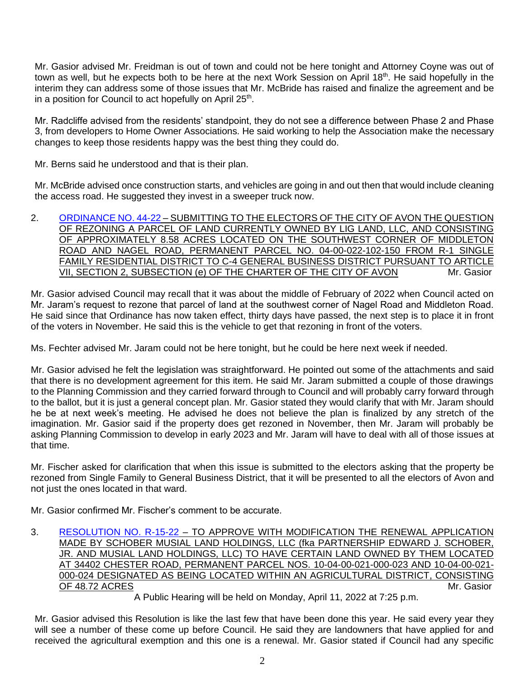Mr. Gasior advised Mr. Freidman is out of town and could not be here tonight and Attorney Coyne was out of town as well, but he expects both to be here at the next Work Session on April 18<sup>th</sup>. He said hopefully in the interim they can address some of those issues that Mr. McBride has raised and finalize the agreement and be in a position for Council to act hopefully on April 25<sup>th</sup>.

Mr. Radcliffe advised from the residents' standpoint, they do not see a difference between Phase 2 and Phase 3, from developers to Home Owner Associations. He said working to help the Association make the necessary changes to keep those residents happy was the best thing they could do.

Mr. Berns said he understood and that is their plan.

Mr. McBride advised once construction starts, and vehicles are going in and out then that would include cleaning the access road. He suggested they invest in a sweeper truck now.

2. [ORDINANCE NO. 44-22](https://www.cityofavon.com/DocumentCenter/View/7718/Ordinance-No-44-22-Lig-Land-LLC-ballot-rezoning) – SUBMITTING TO THE ELECTORS OF THE CITY OF AVON THE QUESTION OF REZONING A PARCEL OF LAND CURRENTLY OWNED BY LIG LAND, LLC, AND CONSISTING OF APPROXIMATELY 8.58 ACRES LOCATED ON THE SOUTHWEST CORNER OF MIDDLETON ROAD AND NAGEL ROAD, PERMANENT PARCEL NO. 04-00-022-102-150 FROM R-1 SINGLE FAMILY RESIDENTIAL DISTRICT TO C-4 GENERAL BUSINESS DISTRICT PURSUANT TO ARTICLE VII, SECTION 2, SUBSECTION (e) OF THE CHARTER OF THE CITY OF AVON Mr. Gasion

Mr. Gasior advised Council may recall that it was about the middle of February of 2022 when Council acted on Mr. Jaram's request to rezone that parcel of land at the southwest corner of Nagel Road and Middleton Road. He said since that Ordinance has now taken effect, thirty days have passed, the next step is to place it in front of the voters in November. He said this is the vehicle to get that rezoning in front of the voters.

Ms. Fechter advised Mr. Jaram could not be here tonight, but he could be here next week if needed.

Mr. Gasior advised he felt the legislation was straightforward. He pointed out some of the attachments and said that there is no development agreement for this item. He said Mr. Jaram submitted a couple of those drawings to the Planning Commission and they carried forward through to Council and will probably carry forward through to the ballot, but it is just a general concept plan. Mr. Gasior stated they would clarify that with Mr. Jaram should he be at next week's meeting. He advised he does not believe the plan is finalized by any stretch of the imagination. Mr. Gasior said if the property does get rezoned in November, then Mr. Jaram will probably be asking Planning Commission to develop in early 2023 and Mr. Jaram will have to deal with all of those issues at that time.

Mr. Fischer asked for clarification that when this issue is submitted to the electors asking that the property be rezoned from Single Family to General Business District, that it will be presented to all the electors of Avon and not just the ones located in that ward.

Mr. Gasior confirmed Mr. Fischer's comment to be accurate.

3. [RESOLUTION NO. R-15-22](https://www.cityofavon.com/DocumentCenter/View/7720/Resolution-No-R-15-22-Schober---Musial-Agr-Dist) – TO APPROVE WITH MODIFICATION THE RENEWAL APPLICATION MADE BY SCHOBER MUSIAL LAND HOLDINGS, LLC (fka PARTNERSHIP EDWARD J. SCHOBER, JR. AND MUSIAL LAND HOLDINGS, LLC) TO HAVE CERTAIN LAND OWNED BY THEM LOCATED AT 34402 CHESTER ROAD, PERMANENT PARCEL NOS. 10-04-00-021-000-023 AND 10-04-00-021- 000-024 DESIGNATED AS BEING LOCATED WITHIN AN AGRICULTURAL DISTRICT, CONSISTING OF 48.72 ACRES Mr. Gasior

A Public Hearing will be held on Monday, April 11, 2022 at 7:25 p.m.

Mr. Gasior advised this Resolution is like the last few that have been done this year. He said every year they will see a number of these come up before Council. He said they are landowners that have applied for and received the agricultural exemption and this one is a renewal. Mr. Gasior stated if Council had any specific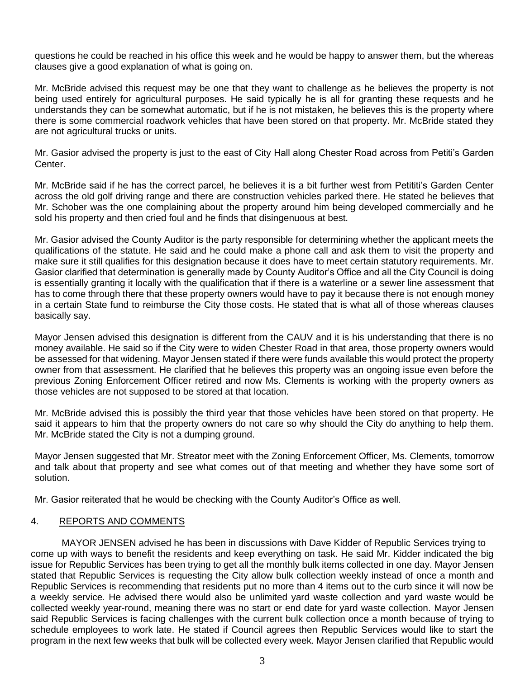questions he could be reached in his office this week and he would be happy to answer them, but the whereas clauses give a good explanation of what is going on.

Mr. McBride advised this request may be one that they want to challenge as he believes the property is not being used entirely for agricultural purposes. He said typically he is all for granting these requests and he understands they can be somewhat automatic, but if he is not mistaken, he believes this is the property where there is some commercial roadwork vehicles that have been stored on that property. Mr. McBride stated they are not agricultural trucks or units.

Mr. Gasior advised the property is just to the east of City Hall along Chester Road across from Petiti's Garden Center.

Mr. McBride said if he has the correct parcel, he believes it is a bit further west from Petititi's Garden Center across the old golf driving range and there are construction vehicles parked there. He stated he believes that Mr. Schober was the one complaining about the property around him being developed commercially and he sold his property and then cried foul and he finds that disingenuous at best.

Mr. Gasior advised the County Auditor is the party responsible for determining whether the applicant meets the qualifications of the statute. He said and he could make a phone call and ask them to visit the property and make sure it still qualifies for this designation because it does have to meet certain statutory requirements. Mr. Gasior clarified that determination is generally made by County Auditor's Office and all the City Council is doing is essentially granting it locally with the qualification that if there is a waterline or a sewer line assessment that has to come through there that these property owners would have to pay it because there is not enough money in a certain State fund to reimburse the City those costs. He stated that is what all of those whereas clauses basically say.

Mayor Jensen advised this designation is different from the CAUV and it is his understanding that there is no money available. He said so if the City were to widen Chester Road in that area, those property owners would be assessed for that widening. Mayor Jensen stated if there were funds available this would protect the property owner from that assessment. He clarified that he believes this property was an ongoing issue even before the previous Zoning Enforcement Officer retired and now Ms. Clements is working with the property owners as those vehicles are not supposed to be stored at that location.

Mr. McBride advised this is possibly the third year that those vehicles have been stored on that property. He said it appears to him that the property owners do not care so why should the City do anything to help them. Mr. McBride stated the City is not a dumping ground.

Mayor Jensen suggested that Mr. Streator meet with the Zoning Enforcement Officer, Ms. Clements, tomorrow and talk about that property and see what comes out of that meeting and whether they have some sort of solution.

Mr. Gasior reiterated that he would be checking with the County Auditor's Office as well.

### 4. REPORTS AND COMMENTS

MAYOR JENSEN advised he has been in discussions with Dave Kidder of Republic Services trying to come up with ways to benefit the residents and keep everything on task. He said Mr. Kidder indicated the big issue for Republic Services has been trying to get all the monthly bulk items collected in one day. Mayor Jensen stated that Republic Services is requesting the City allow bulk collection weekly instead of once a month and Republic Services is recommending that residents put no more than 4 items out to the curb since it will now be a weekly service. He advised there would also be unlimited yard waste collection and yard waste would be collected weekly year-round, meaning there was no start or end date for yard waste collection. Mayor Jensen said Republic Services is facing challenges with the current bulk collection once a month because of trying to schedule employees to work late. He stated if Council agrees then Republic Services would like to start the program in the next few weeks that bulk will be collected every week. Mayor Jensen clarified that Republic would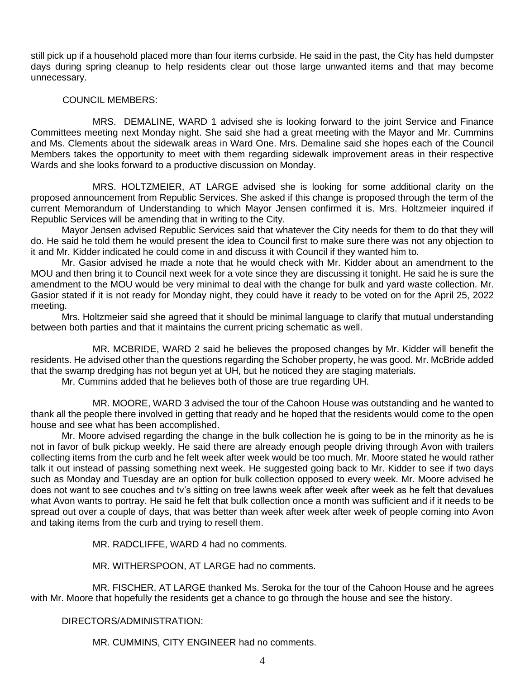still pick up if a household placed more than four items curbside. He said in the past, the City has held dumpster days during spring cleanup to help residents clear out those large unwanted items and that may become unnecessary.

## COUNCIL MEMBERS:

MRS. DEMALINE, WARD 1 advised she is looking forward to the joint Service and Finance Committees meeting next Monday night. She said she had a great meeting with the Mayor and Mr. Cummins and Ms. Clements about the sidewalk areas in Ward One. Mrs. Demaline said she hopes each of the Council Members takes the opportunity to meet with them regarding sidewalk improvement areas in their respective Wards and she looks forward to a productive discussion on Monday.

MRS. HOLTZMEIER, AT LARGE advised she is looking for some additional clarity on the proposed announcement from Republic Services. She asked if this change is proposed through the term of the current Memorandum of Understanding to which Mayor Jensen confirmed it is. Mrs. Holtzmeier inquired if Republic Services will be amending that in writing to the City.

Mayor Jensen advised Republic Services said that whatever the City needs for them to do that they will do. He said he told them he would present the idea to Council first to make sure there was not any objection to it and Mr. Kidder indicated he could come in and discuss it with Council if they wanted him to.

Mr. Gasior advised he made a note that he would check with Mr. Kidder about an amendment to the MOU and then bring it to Council next week for a vote since they are discussing it tonight. He said he is sure the amendment to the MOU would be very minimal to deal with the change for bulk and yard waste collection. Mr. Gasior stated if it is not ready for Monday night, they could have it ready to be voted on for the April 25, 2022 meeting.

Mrs. Holtzmeier said she agreed that it should be minimal language to clarify that mutual understanding between both parties and that it maintains the current pricing schematic as well.

MR. MCBRIDE, WARD 2 said he believes the proposed changes by Mr. Kidder will benefit the residents. He advised other than the questions regarding the Schober property, he was good. Mr. McBride added that the swamp dredging has not begun yet at UH, but he noticed they are staging materials.

Mr. Cummins added that he believes both of those are true regarding UH.

MR. MOORE, WARD 3 advised the tour of the Cahoon House was outstanding and he wanted to thank all the people there involved in getting that ready and he hoped that the residents would come to the open house and see what has been accomplished.

Mr. Moore advised regarding the change in the bulk collection he is going to be in the minority as he is not in favor of bulk pickup weekly. He said there are already enough people driving through Avon with trailers collecting items from the curb and he felt week after week would be too much. Mr. Moore stated he would rather talk it out instead of passing something next week. He suggested going back to Mr. Kidder to see if two days such as Monday and Tuesday are an option for bulk collection opposed to every week. Mr. Moore advised he does not want to see couches and tv's sitting on tree lawns week after week after week as he felt that devalues what Avon wants to portray. He said he felt that bulk collection once a month was sufficient and if it needs to be spread out over a couple of days, that was better than week after week after week of people coming into Avon and taking items from the curb and trying to resell them.

MR. RADCLIFFE, WARD 4 had no comments.

MR. WITHERSPOON, AT LARGE had no comments.

MR. FISCHER, AT LARGE thanked Ms. Seroka for the tour of the Cahoon House and he agrees with Mr. Moore that hopefully the residents get a chance to go through the house and see the history.

### DIRECTORS/ADMINISTRATION:

MR. CUMMINS, CITY ENGINEER had no comments.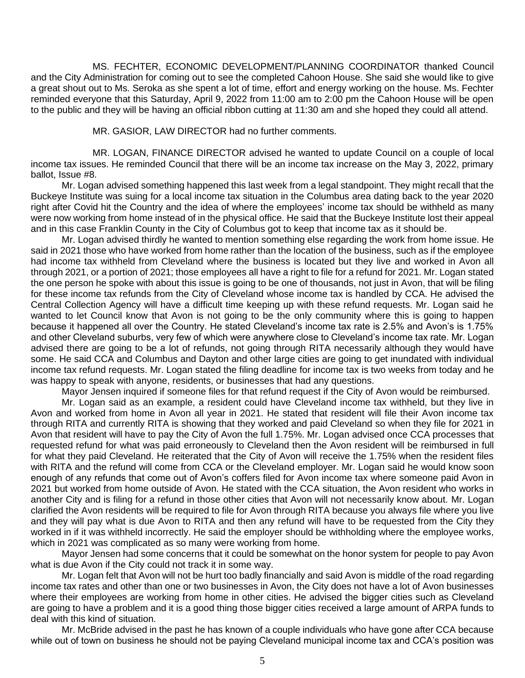MS. FECHTER, ECONOMIC DEVELOPMENT/PLANNING COORDINATOR thanked Council and the City Administration for coming out to see the completed Cahoon House. She said she would like to give a great shout out to Ms. Seroka as she spent a lot of time, effort and energy working on the house. Ms. Fechter reminded everyone that this Saturday, April 9, 2022 from 11:00 am to 2:00 pm the Cahoon House will be open to the public and they will be having an official ribbon cutting at 11:30 am and she hoped they could all attend.

MR. GASIOR, LAW DIRECTOR had no further comments.

MR. LOGAN, FINANCE DIRECTOR advised he wanted to update Council on a couple of local income tax issues. He reminded Council that there will be an income tax increase on the May 3, 2022, primary ballot, Issue #8.

Mr. Logan advised something happened this last week from a legal standpoint. They might recall that the Buckeye Institute was suing for a local income tax situation in the Columbus area dating back to the year 2020 right after Covid hit the Country and the idea of where the employees' income tax should be withheld as many were now working from home instead of in the physical office. He said that the Buckeye Institute lost their appeal and in this case Franklin County in the City of Columbus got to keep that income tax as it should be.

Mr. Logan advised thirdly he wanted to mention something else regarding the work from home issue. He said in 2021 those who have worked from home rather than the location of the business, such as if the employee had income tax withheld from Cleveland where the business is located but they live and worked in Avon all through 2021, or a portion of 2021; those employees all have a right to file for a refund for 2021. Mr. Logan stated the one person he spoke with about this issue is going to be one of thousands, not just in Avon, that will be filing for these income tax refunds from the City of Cleveland whose income tax is handled by CCA. He advised the Central Collection Agency will have a difficult time keeping up with these refund requests. Mr. Logan said he wanted to let Council know that Avon is not going to be the only community where this is going to happen because it happened all over the Country. He stated Cleveland's income tax rate is 2.5% and Avon's is 1.75% and other Cleveland suburbs, very few of which were anywhere close to Cleveland's income tax rate. Mr. Logan advised there are going to be a lot of refunds, not going through RITA necessarily although they would have some. He said CCA and Columbus and Dayton and other large cities are going to get inundated with individual income tax refund requests. Mr. Logan stated the filing deadline for income tax is two weeks from today and he was happy to speak with anyone, residents, or businesses that had any questions.

Mayor Jensen inquired if someone files for that refund request if the City of Avon would be reimbursed.

Mr. Logan said as an example, a resident could have Cleveland income tax withheld, but they live in Avon and worked from home in Avon all year in 2021. He stated that resident will file their Avon income tax through RITA and currently RITA is showing that they worked and paid Cleveland so when they file for 2021 in Avon that resident will have to pay the City of Avon the full 1.75%. Mr. Logan advised once CCA processes that requested refund for what was paid erroneously to Cleveland then the Avon resident will be reimbursed in full for what they paid Cleveland. He reiterated that the City of Avon will receive the 1.75% when the resident files with RITA and the refund will come from CCA or the Cleveland employer. Mr. Logan said he would know soon enough of any refunds that come out of Avon's coffers filed for Avon income tax where someone paid Avon in 2021 but worked from home outside of Avon. He stated with the CCA situation, the Avon resident who works in another City and is filing for a refund in those other cities that Avon will not necessarily know about. Mr. Logan clarified the Avon residents will be required to file for Avon through RITA because you always file where you live and they will pay what is due Avon to RITA and then any refund will have to be requested from the City they worked in if it was withheld incorrectly. He said the employer should be withholding where the employee works, which in 2021 was complicated as so many were working from home.

Mayor Jensen had some concerns that it could be somewhat on the honor system for people to pay Avon what is due Avon if the City could not track it in some way.

Mr. Logan felt that Avon will not be hurt too badly financially and said Avon is middle of the road regarding income tax rates and other than one or two businesses in Avon, the City does not have a lot of Avon businesses where their employees are working from home in other cities. He advised the bigger cities such as Cleveland are going to have a problem and it is a good thing those bigger cities received a large amount of ARPA funds to deal with this kind of situation.

Mr. McBride advised in the past he has known of a couple individuals who have gone after CCA because while out of town on business he should not be paying Cleveland municipal income tax and CCA's position was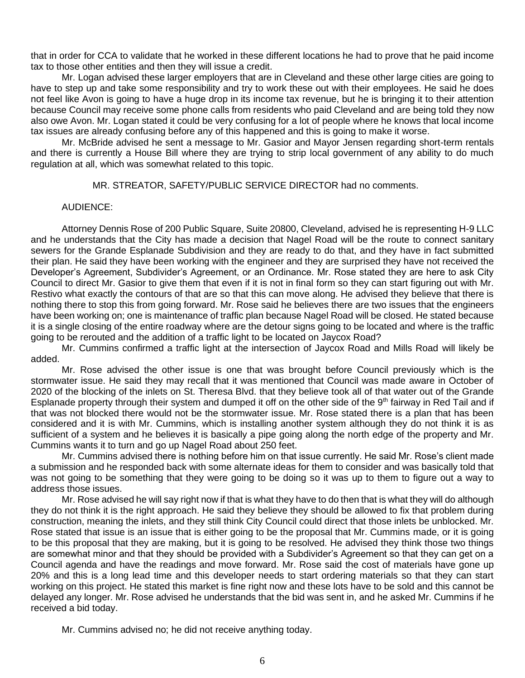that in order for CCA to validate that he worked in these different locations he had to prove that he paid income tax to those other entities and then they will issue a credit.

Mr. Logan advised these larger employers that are in Cleveland and these other large cities are going to have to step up and take some responsibility and try to work these out with their employees. He said he does not feel like Avon is going to have a huge drop in its income tax revenue, but he is bringing it to their attention because Council may receive some phone calls from residents who paid Cleveland and are being told they now also owe Avon. Mr. Logan stated it could be very confusing for a lot of people where he knows that local income tax issues are already confusing before any of this happened and this is going to make it worse.

Mr. McBride advised he sent a message to Mr. Gasior and Mayor Jensen regarding short-term rentals and there is currently a House Bill where they are trying to strip local government of any ability to do much regulation at all, which was somewhat related to this topic.

MR. STREATOR, SAFETY/PUBLIC SERVICE DIRECTOR had no comments.

### AUDIENCE:

Attorney Dennis Rose of 200 Public Square, Suite 20800, Cleveland, advised he is representing H-9 LLC and he understands that the City has made a decision that Nagel Road will be the route to connect sanitary sewers for the Grande Esplanade Subdivision and they are ready to do that, and they have in fact submitted their plan. He said they have been working with the engineer and they are surprised they have not received the Developer's Agreement, Subdivider's Agreement, or an Ordinance. Mr. Rose stated they are here to ask City Council to direct Mr. Gasior to give them that even if it is not in final form so they can start figuring out with Mr. Restivo what exactly the contours of that are so that this can move along. He advised they believe that there is nothing there to stop this from going forward. Mr. Rose said he believes there are two issues that the engineers have been working on; one is maintenance of traffic plan because Nagel Road will be closed. He stated because it is a single closing of the entire roadway where are the detour signs going to be located and where is the traffic going to be rerouted and the addition of a traffic light to be located on Jaycox Road?

Mr. Cummins confirmed a traffic light at the intersection of Jaycox Road and Mills Road will likely be added.

Mr. Rose advised the other issue is one that was brought before Council previously which is the stormwater issue. He said they may recall that it was mentioned that Council was made aware in October of 2020 of the blocking of the inlets on St. Theresa Blvd. that they believe took all of that water out of the Grande Esplanade property through their system and dumped it off on the other side of the 9<sup>th</sup> fairway in Red Tail and if that was not blocked there would not be the stormwater issue. Mr. Rose stated there is a plan that has been considered and it is with Mr. Cummins, which is installing another system although they do not think it is as sufficient of a system and he believes it is basically a pipe going along the north edge of the property and Mr. Cummins wants it to turn and go up Nagel Road about 250 feet.

Mr. Cummins advised there is nothing before him on that issue currently. He said Mr. Rose's client made a submission and he responded back with some alternate ideas for them to consider and was basically told that was not going to be something that they were going to be doing so it was up to them to figure out a way to address those issues.

Mr. Rose advised he will say right now if that is what they have to do then that is what they will do although they do not think it is the right approach. He said they believe they should be allowed to fix that problem during construction, meaning the inlets, and they still think City Council could direct that those inlets be unblocked. Mr. Rose stated that issue is an issue that is either going to be the proposal that Mr. Cummins made, or it is going to be this proposal that they are making, but it is going to be resolved. He advised they think those two things are somewhat minor and that they should be provided with a Subdivider's Agreement so that they can get on a Council agenda and have the readings and move forward. Mr. Rose said the cost of materials have gone up 20% and this is a long lead time and this developer needs to start ordering materials so that they can start working on this project. He stated this market is fine right now and these lots have to be sold and this cannot be delayed any longer. Mr. Rose advised he understands that the bid was sent in, and he asked Mr. Cummins if he received a bid today.

Mr. Cummins advised no; he did not receive anything today.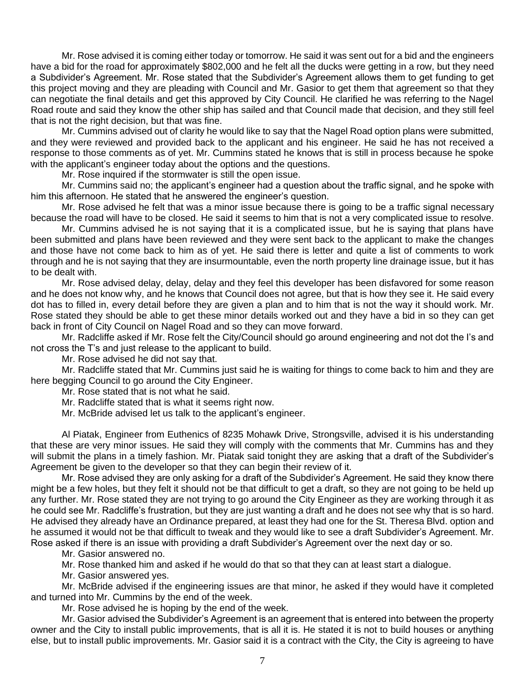Mr. Rose advised it is coming either today or tomorrow. He said it was sent out for a bid and the engineers have a bid for the road for approximately \$802,000 and he felt all the ducks were getting in a row, but they need a Subdivider's Agreement. Mr. Rose stated that the Subdivider's Agreement allows them to get funding to get this project moving and they are pleading with Council and Mr. Gasior to get them that agreement so that they can negotiate the final details and get this approved by City Council. He clarified he was referring to the Nagel Road route and said they know the other ship has sailed and that Council made that decision, and they still feel that is not the right decision, but that was fine.

Mr. Cummins advised out of clarity he would like to say that the Nagel Road option plans were submitted, and they were reviewed and provided back to the applicant and his engineer. He said he has not received a response to those comments as of yet. Mr. Cummins stated he knows that is still in process because he spoke with the applicant's engineer today about the options and the questions.

Mr. Rose inquired if the stormwater is still the open issue.

Mr. Cummins said no; the applicant's engineer had a question about the traffic signal, and he spoke with him this afternoon. He stated that he answered the engineer's question.

Mr. Rose advised he felt that was a minor issue because there is going to be a traffic signal necessary because the road will have to be closed. He said it seems to him that is not a very complicated issue to resolve.

Mr. Cummins advised he is not saying that it is a complicated issue, but he is saying that plans have been submitted and plans have been reviewed and they were sent back to the applicant to make the changes and those have not come back to him as of yet. He said there is letter and quite a list of comments to work through and he is not saying that they are insurmountable, even the north property line drainage issue, but it has to be dealt with.

Mr. Rose advised delay, delay, delay and they feel this developer has been disfavored for some reason and he does not know why, and he knows that Council does not agree, but that is how they see it. He said every dot has to filled in, every detail before they are given a plan and to him that is not the way it should work. Mr. Rose stated they should be able to get these minor details worked out and they have a bid in so they can get back in front of City Council on Nagel Road and so they can move forward.

Mr. Radcliffe asked if Mr. Rose felt the City/Council should go around engineering and not dot the I's and not cross the T's and just release to the applicant to build.

Mr. Rose advised he did not say that.

Mr. Radcliffe stated that Mr. Cummins just said he is waiting for things to come back to him and they are here begging Council to go around the City Engineer.

Mr. Rose stated that is not what he said.

Mr. Radcliffe stated that is what it seems right now.

Mr. McBride advised let us talk to the applicant's engineer.

Al Piatak, Engineer from Euthenics of 8235 Mohawk Drive, Strongsville, advised it is his understanding that these are very minor issues. He said they will comply with the comments that Mr. Cummins has and they will submit the plans in a timely fashion. Mr. Piatak said tonight they are asking that a draft of the Subdivider's Agreement be given to the developer so that they can begin their review of it.

Mr. Rose advised they are only asking for a draft of the Subdivider's Agreement. He said they know there might be a few holes, but they felt it should not be that difficult to get a draft, so they are not going to be held up any further. Mr. Rose stated they are not trying to go around the City Engineer as they are working through it as he could see Mr. Radcliffe's frustration, but they are just wanting a draft and he does not see why that is so hard. He advised they already have an Ordinance prepared, at least they had one for the St. Theresa Blvd. option and he assumed it would not be that difficult to tweak and they would like to see a draft Subdivider's Agreement. Mr. Rose asked if there is an issue with providing a draft Subdivider's Agreement over the next day or so.

Mr. Gasior answered no.

Mr. Rose thanked him and asked if he would do that so that they can at least start a dialogue.

Mr. Gasior answered yes.

Mr. McBride advised if the engineering issues are that minor, he asked if they would have it completed and turned into Mr. Cummins by the end of the week.

Mr. Rose advised he is hoping by the end of the week.

Mr. Gasior advised the Subdivider's Agreement is an agreement that is entered into between the property owner and the City to install public improvements, that is all it is. He stated it is not to build houses or anything else, but to install public improvements. Mr. Gasior said it is a contract with the City, the City is agreeing to have